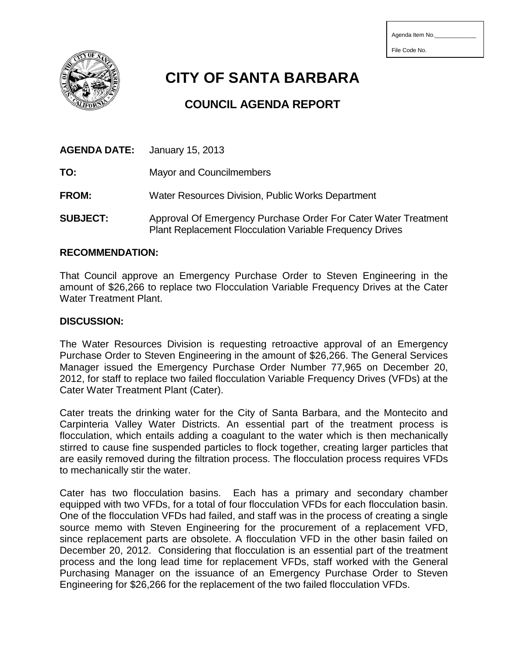| Agenda Item No. |  |  |  |  |  |
|-----------------|--|--|--|--|--|
|-----------------|--|--|--|--|--|

File Code No.



**CITY OF SANTA BARBARA**

## **COUNCIL AGENDA REPORT**

| <b>AGENDA DATE:</b> | January 15, 2013                                                                                                                  |
|---------------------|-----------------------------------------------------------------------------------------------------------------------------------|
| TO:                 | Mayor and Councilmembers                                                                                                          |
| <b>FROM:</b>        | Water Resources Division, Public Works Department                                                                                 |
| <b>SUBJECT:</b>     | Approval Of Emergency Purchase Order For Cater Water Treatment<br><b>Plant Replacement Flocculation Variable Frequency Drives</b> |

## **RECOMMENDATION:**

That Council approve an Emergency Purchase Order to Steven Engineering in the amount of \$26,266 to replace two Flocculation Variable Frequency Drives at the Cater Water Treatment Plant.

## **DISCUSSION:**

The Water Resources Division is requesting retroactive approval of an Emergency Purchase Order to Steven Engineering in the amount of \$26,266. The General Services Manager issued the Emergency Purchase Order Number 77,965 on December 20, 2012, for staff to replace two failed flocculation Variable Frequency Drives (VFDs) at the Cater Water Treatment Plant (Cater).

Cater treats the drinking water for the City of Santa Barbara, and the Montecito and Carpinteria Valley Water Districts. An essential part of the treatment process is flocculation, which entails adding a coagulant to the water which is then mechanically stirred to cause fine suspended particles to flock together, creating larger particles that are easily removed during the filtration process. The flocculation process requires VFDs to mechanically stir the water.

Cater has two flocculation basins. Each has a primary and secondary chamber equipped with two VFDs, for a total of four flocculation VFDs for each flocculation basin. One of the flocculation VFDs had failed, and staff was in the process of creating a single source memo with Steven Engineering for the procurement of a replacement VFD, since replacement parts are obsolete. A flocculation VFD in the other basin failed on December 20, 2012. Considering that flocculation is an essential part of the treatment process and the long lead time for replacement VFDs, staff worked with the General Purchasing Manager on the issuance of an Emergency Purchase Order to Steven Engineering for \$26,266 for the replacement of the two failed flocculation VFDs.